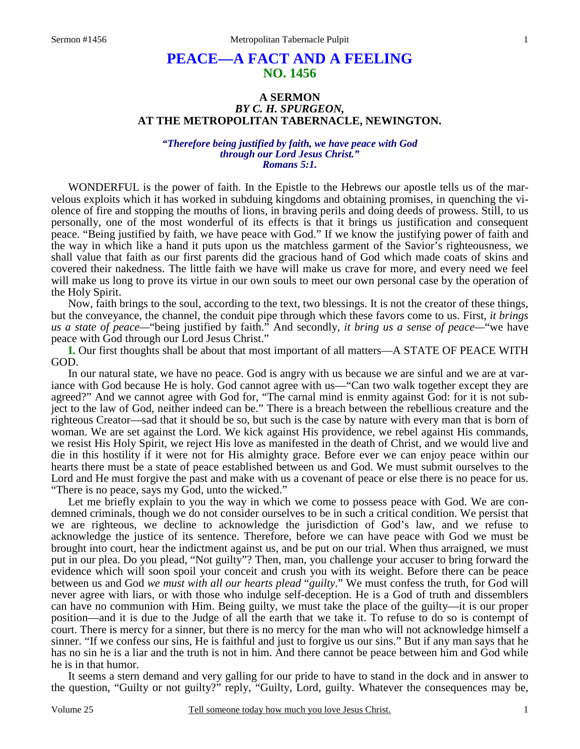# **PEACE—A FACT AND A FEELING NO. 1456**

## **A SERMON**  *BY C. H. SPURGEON,*  **AT THE METROPOLITAN TABERNACLE, NEWINGTON.**

#### *"Therefore being justified by faith, we have peace with God through our Lord Jesus Christ." Romans 5:1.*

WONDERFUL is the power of faith. In the Epistle to the Hebrews our apostle tells us of the marvelous exploits which it has worked in subduing kingdoms and obtaining promises, in quenching the violence of fire and stopping the mouths of lions, in braving perils and doing deeds of prowess. Still, to us personally, one of the most wonderful of its effects is that it brings us justification and consequent peace. "Being justified by faith, we have peace with God." If we know the justifying power of faith and the way in which like a hand it puts upon us the matchless garment of the Savior's righteousness, we shall value that faith as our first parents did the gracious hand of God which made coats of skins and covered their nakedness. The little faith we have will make us crave for more, and every need we feel will make us long to prove its virtue in our own souls to meet our own personal case by the operation of the Holy Spirit.

 Now, faith brings to the soul, according to the text, two blessings. It is not the creator of these things, but the conveyance, the channel, the conduit pipe through which these favors come to us. First, *it brings us a state of peace—*"being justified by faith." And secondly, *it bring us a sense of peace—*"we have peace with God through our Lord Jesus Christ."

**I.** Our first thoughts shall be about that most important of all matters—A STATE OF PEACE WITH GOD.

 In our natural state, we have no peace. God is angry with us because we are sinful and we are at variance with God because He is holy. God cannot agree with us—"Can two walk together except they are agreed?" And we cannot agree with God for, "The carnal mind is enmity against God: for it is not subject to the law of God, neither indeed can be." There is a breach between the rebellious creature and the righteous Creator—sad that it should be so, but such is the case by nature with every man that is born of woman. We are set against the Lord. We kick against His providence, we rebel against His commands, we resist His Holy Spirit, we reject His love as manifested in the death of Christ, and we would live and die in this hostility if it were not for His almighty grace. Before ever we can enjoy peace within our hearts there must be a state of peace established between us and God. We must submit ourselves to the Lord and He must forgive the past and make with us a covenant of peace or else there is no peace for us. "There is no peace, says my God, unto the wicked."

 Let me briefly explain to you the way in which we come to possess peace with God. We are condemned criminals, though we do not consider ourselves to be in such a critical condition. We persist that we are righteous, we decline to acknowledge the jurisdiction of God's law, and we refuse to acknowledge the justice of its sentence. Therefore, before we can have peace with God we must be brought into court, hear the indictment against us, and be put on our trial. When thus arraigned, we must put in our plea. Do you plead, "Not guilty"? Then, man, you challenge your accuser to bring forward the evidence which will soon spoil your conceit and crush you with its weight. Before there can be peace between us and God *we must with all our hearts plead* "*guilty*." We must confess the truth, for God will never agree with liars, or with those who indulge self-deception. He is a God of truth and dissemblers can have no communion with Him. Being guilty, we must take the place of the guilty—it is our proper position—and it is due to the Judge of all the earth that we take it. To refuse to do so is contempt of court. There is mercy for a sinner, but there is no mercy for the man who will not acknowledge himself a sinner. "If we confess our sins, He is faithful and just to forgive us our sins." But if any man says that he has no sin he is a liar and the truth is not in him. And there cannot be peace between him and God while he is in that humor.

 It seems a stern demand and very galling for our pride to have to stand in the dock and in answer to the question, "Guilty or not guilty?" reply, "Guilty, Lord, guilty. Whatever the consequences may be,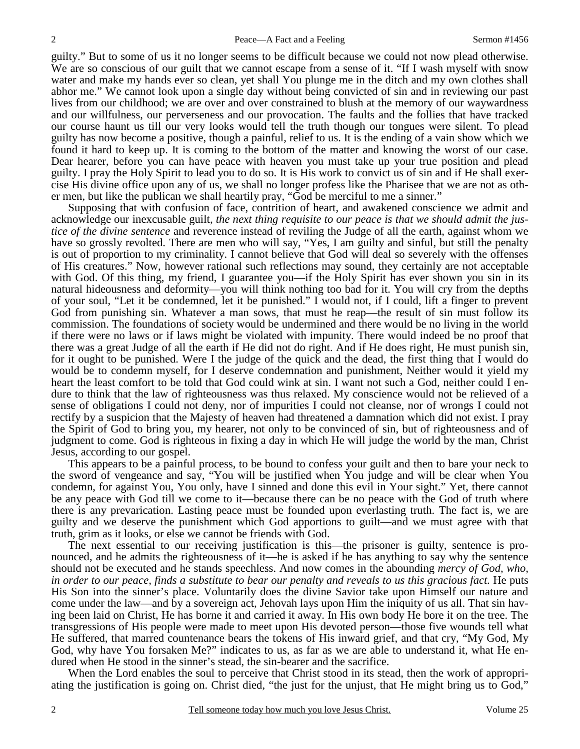guilty." But to some of us it no longer seems to be difficult because we could not now plead otherwise. We are so conscious of our guilt that we cannot escape from a sense of it. "If I wash myself with snow water and make my hands ever so clean, yet shall You plunge me in the ditch and my own clothes shall abhor me." We cannot look upon a single day without being convicted of sin and in reviewing our past lives from our childhood; we are over and over constrained to blush at the memory of our waywardness and our willfulness, our perverseness and our provocation. The faults and the follies that have tracked our course haunt us till our very looks would tell the truth though our tongues were silent. To plead guilty has now become a positive, though a painful, relief to us. It is the ending of a vain show which we found it hard to keep up. It is coming to the bottom of the matter and knowing the worst of our case. Dear hearer, before you can have peace with heaven you must take up your true position and plead guilty. I pray the Holy Spirit to lead you to do so. It is His work to convict us of sin and if He shall exercise His divine office upon any of us, we shall no longer profess like the Pharisee that we are not as other men, but like the publican we shall heartily pray, "God be merciful to me a sinner."

 Supposing that with confusion of face, contrition of heart, and awakened conscience we admit and acknowledge our inexcusable guilt, *the next thing requisite to our peace is that we should admit the justice of the divine sentence* and reverence instead of reviling the Judge of all the earth, against whom we have so grossly revolted. There are men who will say, "Yes, I am guilty and sinful, but still the penalty is out of proportion to my criminality. I cannot believe that God will deal so severely with the offenses of His creatures." Now, however rational such reflections may sound, they certainly are not acceptable with God. Of this thing, my friend, I guarantee you—if the Holy Spirit has ever shown you sin in its natural hideousness and deformity—you will think nothing too bad for it. You will cry from the depths of your soul, "Let it be condemned, let it be punished." I would not, if I could, lift a finger to prevent God from punishing sin. Whatever a man sows, that must he reap—the result of sin must follow its commission. The foundations of society would be undermined and there would be no living in the world if there were no laws or if laws might be violated with impunity. There would indeed be no proof that there was a great Judge of all the earth if He did not do right. And if He does right, He must punish sin, for it ought to be punished. Were I the judge of the quick and the dead, the first thing that I would do would be to condemn myself, for I deserve condemnation and punishment, Neither would it yield my heart the least comfort to be told that God could wink at sin. I want not such a God, neither could I endure to think that the law of righteousness was thus relaxed. My conscience would not be relieved of a sense of obligations I could not deny, nor of impurities I could not cleanse, nor of wrongs I could not rectify by a suspicion that the Majesty of heaven had threatened a damnation which did not exist. I pray the Spirit of God to bring you, my hearer, not only to be convinced of sin, but of righteousness and of judgment to come. God is righteous in fixing a day in which He will judge the world by the man, Christ Jesus, according to our gospel.

 This appears to be a painful process, to be bound to confess your guilt and then to bare your neck to the sword of vengeance and say, "You will be justified when You judge and will be clear when You condemn, for against You, You only, have I sinned and done this evil in Your sight." Yet, there cannot be any peace with God till we come to it—because there can be no peace with the God of truth where there is any prevarication. Lasting peace must be founded upon everlasting truth. The fact is, we are guilty and we deserve the punishment which God apportions to guilt—and we must agree with that truth, grim as it looks, or else we cannot be friends with God.

 The next essential to our receiving justification is this—the prisoner is guilty, sentence is pronounced, and he admits the righteousness of it—he is asked if he has anything to say why the sentence should not be executed and he stands speechless. And now comes in the abounding *mercy of God, who, in order to our peace, finds a substitute to bear our penalty and reveals to us this gracious fact.* He puts His Son into the sinner's place. Voluntarily does the divine Savior take upon Himself our nature and come under the law—and by a sovereign act, Jehovah lays upon Him the iniquity of us all. That sin having been laid on Christ, He has borne it and carried it away. In His own body He bore it on the tree. The transgressions of His people were made to meet upon His devoted person—those five wounds tell what He suffered, that marred countenance bears the tokens of His inward grief, and that cry, "My God, My God, why have You forsaken Me?" indicates to us, as far as we are able to understand it, what He endured when He stood in the sinner's stead, the sin-bearer and the sacrifice.

 When the Lord enables the soul to perceive that Christ stood in its stead, then the work of appropriating the justification is going on. Christ died, "the just for the unjust, that He might bring us to God,"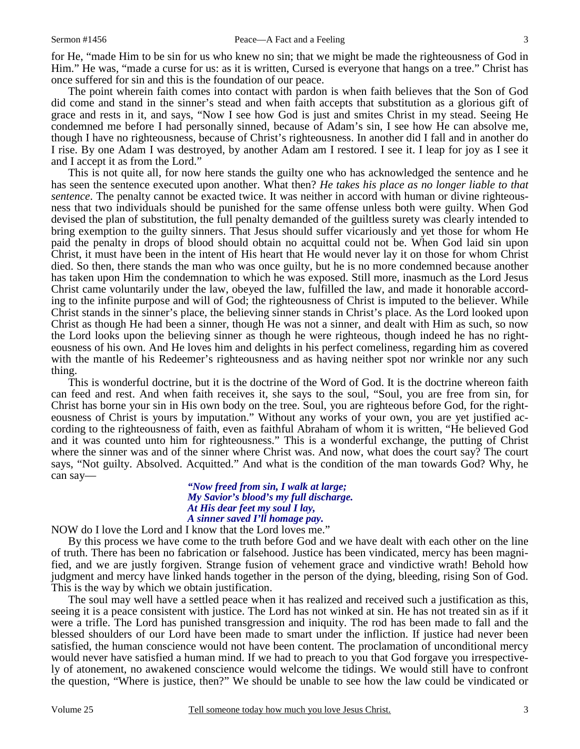for He, "made Him to be sin for us who knew no sin; that we might be made the righteousness of God in Him." He was, "made a curse for us: as it is written, Cursed is everyone that hangs on a tree." Christ has once suffered for sin and this is the foundation of our peace.

 The point wherein faith comes into contact with pardon is when faith believes that the Son of God did come and stand in the sinner's stead and when faith accepts that substitution as a glorious gift of grace and rests in it, and says, "Now I see how God is just and smites Christ in my stead. Seeing He condemned me before I had personally sinned, because of Adam's sin, I see how He can absolve me, though I have no righteousness, because of Christ's righteousness. In another did I fall and in another do I rise. By one Adam I was destroyed, by another Adam am I restored. I see it. I leap for joy as I see it and I accept it as from the Lord."

 This is not quite all, for now here stands the guilty one who has acknowledged the sentence and he has seen the sentence executed upon another. What then? *He takes his place as no longer liable to that sentence*. The penalty cannot be exacted twice. It was neither in accord with human or divine righteousness that two individuals should be punished for the same offense unless both were guilty. When God devised the plan of substitution, the full penalty demanded of the guiltless surety was clearly intended to bring exemption to the guilty sinners. That Jesus should suffer vicariously and yet those for whom He paid the penalty in drops of blood should obtain no acquittal could not be. When God laid sin upon Christ, it must have been in the intent of His heart that He would never lay it on those for whom Christ died. So then, there stands the man who was once guilty, but he is no more condemned because another has taken upon Him the condemnation to which he was exposed. Still more, inasmuch as the Lord Jesus Christ came voluntarily under the law, obeyed the law, fulfilled the law, and made it honorable according to the infinite purpose and will of God; the righteousness of Christ is imputed to the believer. While Christ stands in the sinner's place, the believing sinner stands in Christ's place. As the Lord looked upon Christ as though He had been a sinner, though He was not a sinner, and dealt with Him as such, so now the Lord looks upon the believing sinner as though he were righteous, though indeed he has no righteousness of his own. And He loves him and delights in his perfect comeliness, regarding him as covered with the mantle of his Redeemer's righteousness and as having neither spot nor wrinkle nor any such thing.

 This is wonderful doctrine, but it is the doctrine of the Word of God. It is the doctrine whereon faith can feed and rest. And when faith receives it, she says to the soul, "Soul, you are free from sin, for Christ has borne your sin in His own body on the tree. Soul, you are righteous before God, for the righteousness of Christ is yours by imputation." Without any works of your own, you are yet justified according to the righteousness of faith, even as faithful Abraham of whom it is written, "He believed God and it was counted unto him for righteousness." This is a wonderful exchange, the putting of Christ where the sinner was and of the sinner where Christ was. And now, what does the court say? The court says, "Not guilty. Absolved. Acquitted." And what is the condition of the man towards God? Why, he can say—

## *"Now freed from sin, I walk at large; My Savior's blood's my full discharge. At His dear feet my soul I lay, A sinner saved I'll homage pay.*

NOW do I love the Lord and I know that the Lord loves me."

 By this process we have come to the truth before God and we have dealt with each other on the line of truth. There has been no fabrication or falsehood. Justice has been vindicated, mercy has been magnified, and we are justly forgiven. Strange fusion of vehement grace and vindictive wrath! Behold how judgment and mercy have linked hands together in the person of the dying, bleeding, rising Son of God. This is the way by which we obtain justification.

 The soul may well have a settled peace when it has realized and received such a justification as this, seeing it is a peace consistent with justice. The Lord has not winked at sin. He has not treated sin as if it were a trifle. The Lord has punished transgression and iniquity. The rod has been made to fall and the blessed shoulders of our Lord have been made to smart under the infliction. If justice had never been satisfied, the human conscience would not have been content. The proclamation of unconditional mercy would never have satisfied a human mind. If we had to preach to you that God forgave you irrespectively of atonement, no awakened conscience would welcome the tidings. We would still have to confront the question, "Where is justice, then?" We should be unable to see how the law could be vindicated or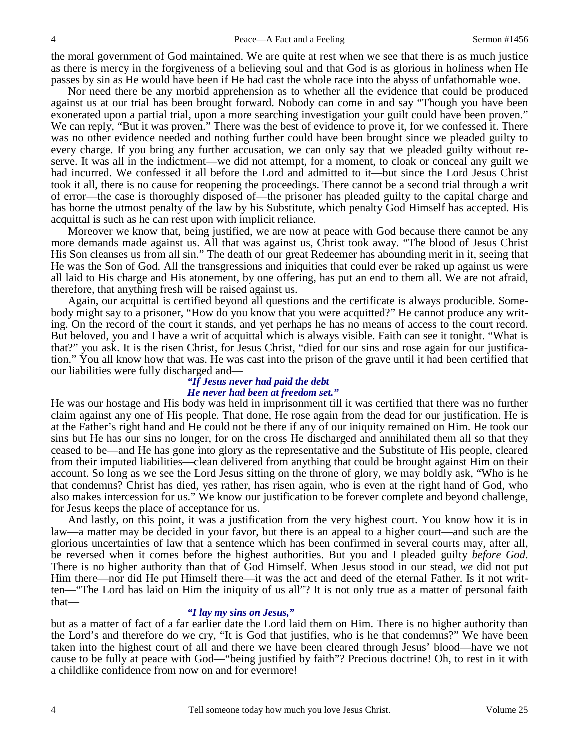the moral government of God maintained. We are quite at rest when we see that there is as much justice as there is mercy in the forgiveness of a believing soul and that God is as glorious in holiness when He passes by sin as He would have been if He had cast the whole race into the abyss of unfathomable woe.

 Nor need there be any morbid apprehension as to whether all the evidence that could be produced against us at our trial has been brought forward. Nobody can come in and say "Though you have been exonerated upon a partial trial, upon a more searching investigation your guilt could have been proven." We can reply, "But it was proven." There was the best of evidence to prove it, for we confessed it. There was no other evidence needed and nothing further could have been brought since we pleaded guilty to every charge. If you bring any further accusation, we can only say that we pleaded guilty without reserve. It was all in the indictment—we did not attempt, for a moment, to cloak or conceal any guilt we had incurred. We confessed it all before the Lord and admitted to it—but since the Lord Jesus Christ took it all, there is no cause for reopening the proceedings. There cannot be a second trial through a writ of error—the case is thoroughly disposed of—the prisoner has pleaded guilty to the capital charge and has borne the utmost penalty of the law by his Substitute, which penalty God Himself has accepted. His acquittal is such as he can rest upon with implicit reliance.

 Moreover we know that, being justified, we are now at peace with God because there cannot be any more demands made against us. All that was against us, Christ took away. "The blood of Jesus Christ His Son cleanses us from all sin." The death of our great Redeemer has abounding merit in it, seeing that He was the Son of God. All the transgressions and iniquities that could ever be raked up against us were all laid to His charge and His atonement, by one offering, has put an end to them all. We are not afraid, therefore, that anything fresh will be raised against us.

 Again, our acquittal is certified beyond all questions and the certificate is always producible. Somebody might say to a prisoner, "How do you know that you were acquitted?" He cannot produce any writing. On the record of the court it stands, and yet perhaps he has no means of access to the court record. But beloved, you and I have a writ of acquittal which is always visible. Faith can see it tonight. "What is that?" you ask. It is the risen Christ, for Jesus Christ, "died for our sins and rose again for our justification." You all know how that was. He was cast into the prison of the grave until it had been certified that our liabilities were fully discharged and—

## *"If Jesus never had paid the debt He never had been at freedom set."*

He was our hostage and His body was held in imprisonment till it was certified that there was no further claim against any one of His people. That done, He rose again from the dead for our justification. He is at the Father's right hand and He could not be there if any of our iniquity remained on Him. He took our sins but He has our sins no longer, for on the cross He discharged and annihilated them all so that they ceased to be—and He has gone into glory as the representative and the Substitute of His people, cleared from their imputed liabilities—clean delivered from anything that could be brought against Him on their account. So long as we see the Lord Jesus sitting on the throne of glory, we may boldly ask, "Who is he that condemns? Christ has died, yes rather, has risen again, who is even at the right hand of God, who also makes intercession for us." We know our justification to be forever complete and beyond challenge, for Jesus keeps the place of acceptance for us.

 And lastly, on this point, it was a justification from the very highest court. You know how it is in law—a matter may be decided in your favor, but there is an appeal to a higher court—and such are the glorious uncertainties of law that a sentence which has been confirmed in several courts may, after all, be reversed when it comes before the highest authorities. But you and I pleaded guilty *before God*. There is no higher authority than that of God Himself. When Jesus stood in our stead, *we* did not put Him there—nor did He put Himself there—it was the act and deed of the eternal Father. Is it not written—"The Lord has laid on Him the iniquity of us all"? It is not only true as a matter of personal faith that—

## *"I lay my sins on Jesus,"*

but as a matter of fact of a far earlier date the Lord laid them on Him. There is no higher authority than the Lord's and therefore do we cry, "It is God that justifies, who is he that condemns?" We have been taken into the highest court of all and there we have been cleared through Jesus' blood—have we not cause to be fully at peace with God—"being justified by faith"? Precious doctrine! Oh, to rest in it with a childlike confidence from now on and for evermore!

4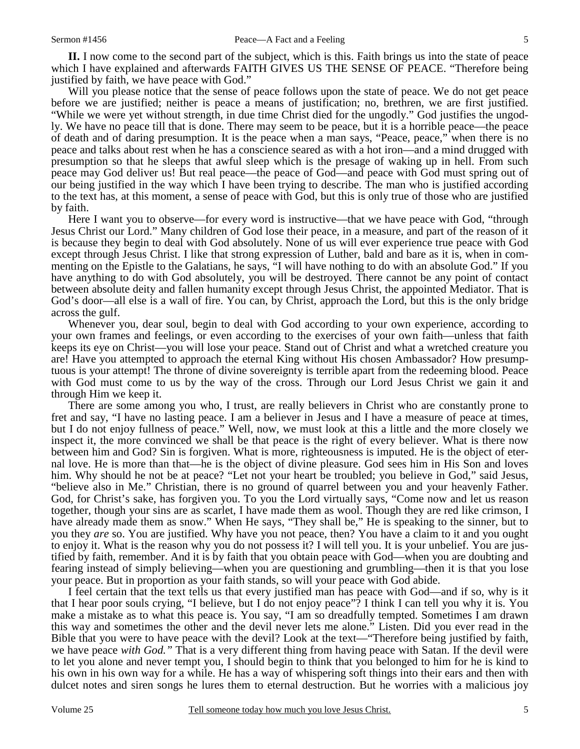**II.** I now come to the second part of the subject, which is this. Faith brings us into the state of peace which I have explained and afterwards FAITH GIVES US THE SENSE OF PEACE. "Therefore being justified by faith, we have peace with God."

 Will you please notice that the sense of peace follows upon the state of peace. We do not get peace before we are justified; neither is peace a means of justification; no, brethren, we are first justified. "While we were yet without strength, in due time Christ died for the ungodly." God justifies the ungodly. We have no peace till that is done. There may seem to be peace, but it is a horrible peace—the peace of death and of daring presumption. It is the peace when a man says, "Peace, peace," when there is no peace and talks about rest when he has a conscience seared as with a hot iron—and a mind drugged with presumption so that he sleeps that awful sleep which is the presage of waking up in hell. From such peace may God deliver us! But real peace—the peace of God—and peace with God must spring out of our being justified in the way which I have been trying to describe. The man who is justified according to the text has, at this moment, a sense of peace with God, but this is only true of those who are justified by faith.

 Here I want you to observe—for every word is instructive—that we have peace with God, "through Jesus Christ our Lord." Many children of God lose their peace, in a measure, and part of the reason of it is because they begin to deal with God absolutely. None of us will ever experience true peace with God except through Jesus Christ. I like that strong expression of Luther, bald and bare as it is, when in commenting on the Epistle to the Galatians, he says, "I will have nothing to do with an absolute God." If you have anything to do with God absolutely, you will be destroyed. There cannot be any point of contact between absolute deity and fallen humanity except through Jesus Christ, the appointed Mediator. That is God's door—all else is a wall of fire. You can, by Christ, approach the Lord, but this is the only bridge across the gulf.

 Whenever you, dear soul, begin to deal with God according to your own experience, according to your own frames and feelings, or even according to the exercises of your own faith—unless that faith keeps its eye on Christ—you will lose your peace. Stand out of Christ and what a wretched creature you are! Have you attempted to approach the eternal King without His chosen Ambassador? How presumptuous is your attempt! The throne of divine sovereignty is terrible apart from the redeeming blood. Peace with God must come to us by the way of the cross. Through our Lord Jesus Christ we gain it and through Him we keep it.

 There are some among you who, I trust, are really believers in Christ who are constantly prone to fret and say, "I have no lasting peace. I am a believer in Jesus and I have a measure of peace at times, but I do not enjoy fullness of peace." Well, now, we must look at this a little and the more closely we inspect it, the more convinced we shall be that peace is the right of every believer. What is there now between him and God? Sin is forgiven. What is more, righteousness is imputed. He is the object of eternal love. He is more than that—he is the object of divine pleasure. God sees him in His Son and loves him. Why should he not be at peace? "Let not your heart be troubled; you believe in God," said Jesus, "believe also in Me." Christian, there is no ground of quarrel between you and your heavenly Father. God, for Christ's sake, has forgiven you. To you the Lord virtually says, "Come now and let us reason together, though your sins are as scarlet, I have made them as wool. Though they are red like crimson, I have already made them as snow." When He says, "They shall be," He is speaking to the sinner, but to you they *are* so. You are justified. Why have you not peace, then? You have a claim to it and you ought to enjoy it. What is the reason why you do not possess it? I will tell you. It is your unbelief. You are justified by faith, remember. And it is by faith that you obtain peace with God—when you are doubting and fearing instead of simply believing—when you are questioning and grumbling—then it is that you lose your peace. But in proportion as your faith stands, so will your peace with God abide.

 I feel certain that the text tells us that every justified man has peace with God—and if so, why is it that I hear poor souls crying, "I believe, but I do not enjoy peace"? I think I can tell you why it is. You make a mistake as to what this peace is. You say, "I am so dreadfully tempted. Sometimes I am drawn this way and sometimes the other and the devil never lets me alone." Listen. Did you ever read in the Bible that you were to have peace with the devil? Look at the text—"Therefore being justified by faith, we have peace *with God."* That is a very different thing from having peace with Satan. If the devil were to let you alone and never tempt you, I should begin to think that you belonged to him for he is kind to his own in his own way for a while. He has a way of whispering soft things into their ears and then with dulcet notes and siren songs he lures them to eternal destruction. But he worries with a malicious joy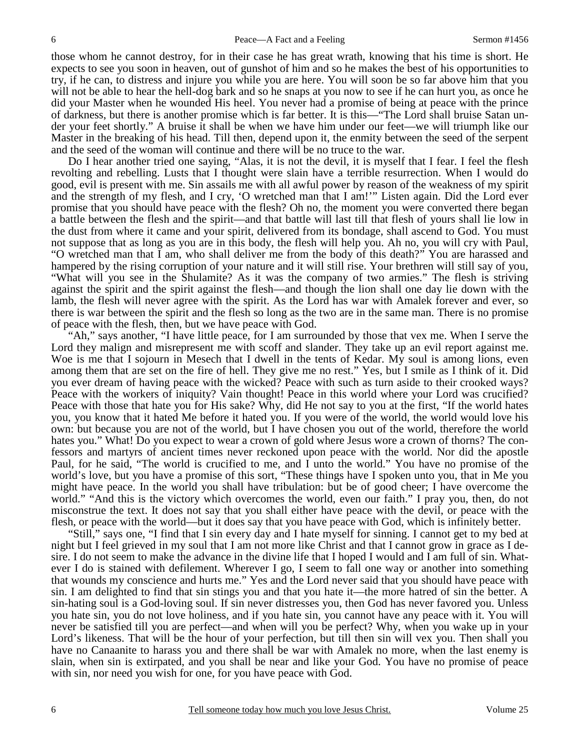those whom he cannot destroy, for in their case he has great wrath, knowing that his time is short. He expects to see you soon in heaven, out of gunshot of him and so he makes the best of his opportunities to try, if he can, to distress and injure you while you are here. You will soon be so far above him that you will not be able to hear the hell-dog bark and so he snaps at you now to see if he can hurt you, as once he did your Master when he wounded His heel. You never had a promise of being at peace with the prince of darkness, but there is another promise which is far better. It is this—"The Lord shall bruise Satan under your feet shortly." A bruise it shall be when we have him under our feet—we will triumph like our Master in the breaking of his head. Till then, depend upon it, the enmity between the seed of the serpent and the seed of the woman will continue and there will be no truce to the war.

 Do I hear another tried one saying, "Alas, it is not the devil, it is myself that I fear. I feel the flesh revolting and rebelling. Lusts that I thought were slain have a terrible resurrection. When I would do good, evil is present with me. Sin assails me with all awful power by reason of the weakness of my spirit and the strength of my flesh, and I cry, 'O wretched man that I am!'" Listen again. Did the Lord ever promise that you should have peace with the flesh? Oh no, the moment you were converted there began a battle between the flesh and the spirit—and that battle will last till that flesh of yours shall lie low in the dust from where it came and your spirit, delivered from its bondage, shall ascend to God. You must not suppose that as long as you are in this body, the flesh will help you. Ah no, you will cry with Paul, "O wretched man that I am, who shall deliver me from the body of this death?" You are harassed and hampered by the rising corruption of your nature and it will still rise. Your brethren will still say of you, "What will you see in the Shulamite? As it was the company of two armies." The flesh is striving against the spirit and the spirit against the flesh—and though the lion shall one day lie down with the lamb, the flesh will never agree with the spirit. As the Lord has war with Amalek forever and ever, so there is war between the spirit and the flesh so long as the two are in the same man. There is no promise of peace with the flesh, then, but we have peace with God.

 "Ah," says another, "I have little peace, for I am surrounded by those that vex me. When I serve the Lord they malign and misrepresent me with scoff and slander. They take up an evil report against me. Woe is me that I sojourn in Mesech that I dwell in the tents of Kedar. My soul is among lions, even among them that are set on the fire of hell. They give me no rest." Yes, but I smile as I think of it. Did you ever dream of having peace with the wicked? Peace with such as turn aside to their crooked ways? Peace with the workers of iniquity? Vain thought! Peace in this world where your Lord was crucified? Peace with those that hate you for His sake? Why, did He not say to you at the first, "If the world hates you, you know that it hated Me before it hated you. If you were of the world, the world would love his own: but because you are not of the world, but I have chosen you out of the world, therefore the world hates you." What! Do you expect to wear a crown of gold where Jesus wore a crown of thorns? The confessors and martyrs of ancient times never reckoned upon peace with the world. Nor did the apostle Paul, for he said, "The world is crucified to me, and I unto the world." You have no promise of the world's love, but you have a promise of this sort, "These things have I spoken unto you, that in Me you might have peace. In the world you shall have tribulation: but be of good cheer; I have overcome the world." "And this is the victory which overcomes the world, even our faith." I pray you, then, do not misconstrue the text. It does not say that you shall either have peace with the devil, or peace with the flesh, or peace with the world—but it does say that you have peace with God, which is infinitely better.

 "Still," says one, "I find that I sin every day and I hate myself for sinning. I cannot get to my bed at night but I feel grieved in my soul that I am not more like Christ and that I cannot grow in grace as I desire. I do not seem to make the advance in the divine life that I hoped I would and I am full of sin. Whatever I do is stained with defilement. Wherever I go, I seem to fall one way or another into something that wounds my conscience and hurts me." Yes and the Lord never said that you should have peace with sin. I am delighted to find that sin stings you and that you hate it—the more hatred of sin the better. A sin-hating soul is a God-loving soul. If sin never distresses you, then God has never favored you. Unless you hate sin, you do not love holiness, and if you hate sin, you cannot have any peace with it. You will never be satisfied till you are perfect—and when will you be perfect? Why, when you wake up in your Lord's likeness. That will be the hour of your perfection, but till then sin will vex you. Then shall you have no Canaanite to harass you and there shall be war with Amalek no more, when the last enemy is slain, when sin is extirpated, and you shall be near and like your God. You have no promise of peace with sin, nor need you wish for one, for you have peace with God.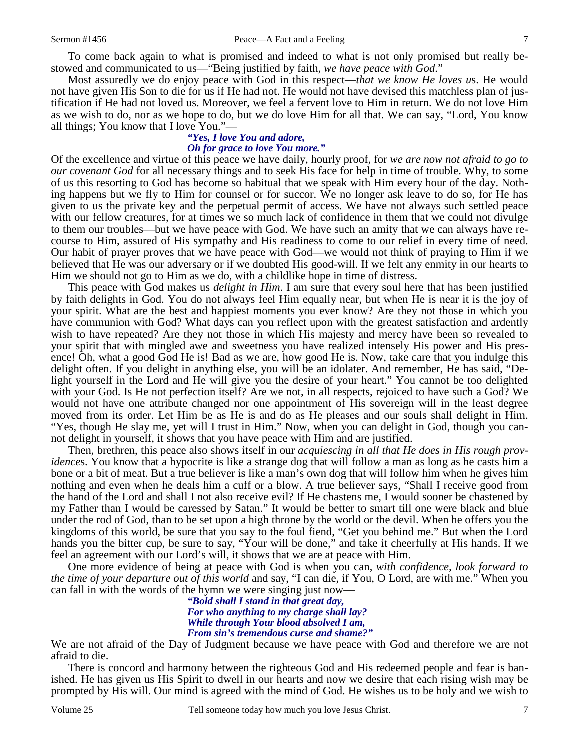To come back again to what is promised and indeed to what is not only promised but really bestowed and communicated to us—"Being justified by faith, *we have peace with God*."

Most assuredly we do enjoy peace with God in this respect—*that we know He loves u*s. He would not have given His Son to die for us if He had not. He would not have devised this matchless plan of justification if He had not loved us. Moreover, we feel a fervent love to Him in return. We do not love Him as we wish to do, nor as we hope to do, but we do love Him for all that. We can say, "Lord, You know all things; You know that I love You."—

#### *"Yes, I love You and adore, Oh for grace to love You more."*

Of the excellence and virtue of this peace we have daily, hourly proof, for *we are now not afraid to go to our covenant God* for all necessary things and to seek His face for help in time of trouble. Why, to some of us this resorting to God has become so habitual that we speak with Him every hour of the day. Nothing happens but we fly to Him for counsel or for succor. We no longer ask leave to do so, for He has given to us the private key and the perpetual permit of access. We have not always such settled peace with our fellow creatures, for at times we so much lack of confidence in them that we could not divulge to them our troubles—but we have peace with God. We have such an amity that we can always have recourse to Him, assured of His sympathy and His readiness to come to our relief in every time of need. Our habit of prayer proves that we have peace with God—we would not think of praying to Him if we believed that He was our adversary or if we doubted His good-will. If we felt any enmity in our hearts to Him we should not go to Him as we do, with a childlike hope in time of distress.

 This peace with God makes us *delight in Him*. I am sure that every soul here that has been justified by faith delights in God. You do not always feel Him equally near, but when He is near it is the joy of your spirit. What are the best and happiest moments you ever know? Are they not those in which you have communion with God? What days can you reflect upon with the greatest satisfaction and ardently wish to have repeated? Are they not those in which His majesty and mercy have been so revealed to your spirit that with mingled awe and sweetness you have realized intensely His power and His presence! Oh, what a good God He is! Bad as we are, how good He is. Now, take care that you indulge this delight often. If you delight in anything else, you will be an idolater. And remember, He has said, "Delight yourself in the Lord and He will give you the desire of your heart." You cannot be too delighted with your God. Is He not perfection itself? Are we not, in all respects, rejoiced to have such a God? We would not have one attribute changed nor one appointment of His sovereign will in the least degree moved from its order. Let Him be as He is and do as He pleases and our souls shall delight in Him. "Yes, though He slay me, yet will I trust in Him." Now, when you can delight in God, though you cannot delight in yourself, it shows that you have peace with Him and are justified.

 Then, brethren, this peace also shows itself in our *acquiescing in all that He does in His rough providence*s. You know that a hypocrite is like a strange dog that will follow a man as long as he casts him a bone or a bit of meat. But a true believer is like a man's own dog that will follow him when he gives him nothing and even when he deals him a cuff or a blow. A true believer says, "Shall I receive good from the hand of the Lord and shall I not also receive evil? If He chastens me, I would sooner be chastened by my Father than I would be caressed by Satan." It would be better to smart till one were black and blue under the rod of God, than to be set upon a high throne by the world or the devil. When he offers you the kingdoms of this world, be sure that you say to the foul fiend, "Get you behind me." But when the Lord hands you the bitter cup, be sure to say, "Your will be done," and take it cheerfully at His hands. If we feel an agreement with our Lord's will, it shows that we are at peace with Him.

 One more evidence of being at peace with God is when you can, *with confidence, look forward to the time of your departure out of this world* and say, "I can die, if You, O Lord, are with me." When you can fall in with the words of the hymn we were singing just now—

*"Bold shall I stand in that great day, For who anything to my charge shall lay? While through Your blood absolved I am, From sin's tremendous curse and shame?"* 

We are not afraid of the Day of Judgment because we have peace with God and therefore we are not afraid to die.

 There is concord and harmony between the righteous God and His redeemed people and fear is banished. He has given us His Spirit to dwell in our hearts and now we desire that each rising wish may be prompted by His will. Our mind is agreed with the mind of God. He wishes us to be holy and we wish to